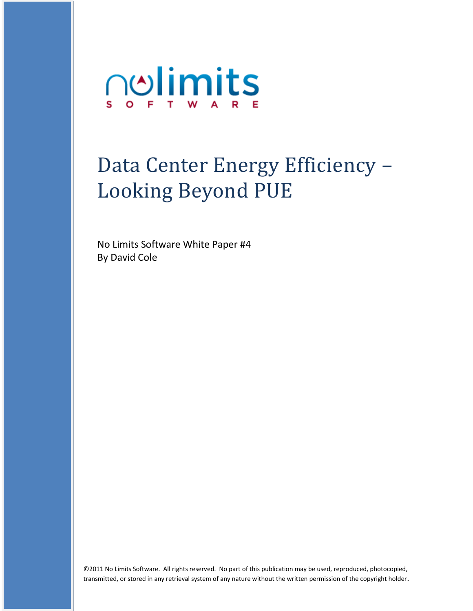

# Data Center Energy Efficiency – Looking Beyond PUE

No Limits Software White Paper #4 By David Cole

©2011 No Limits Software. All rights reserved. No part of this publication may be used, reproduced, photocopied, transmitted, or stored in any retrieval system of any nature without the written permission of the copyright holder.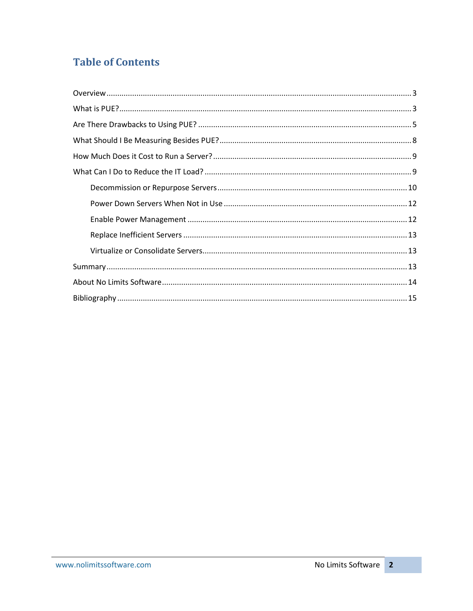## **Table of Contents**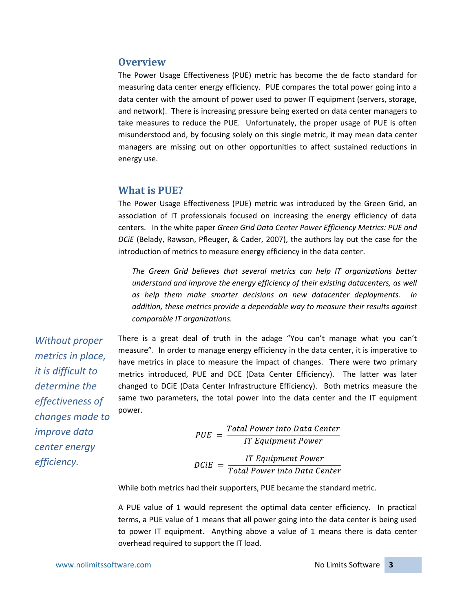## <span id="page-2-0"></span>**Overview**

The Power Usage Effectiveness (PUE) metric has become the de facto standard for measuring data center energy efficiency. PUE compares the total power going into a data center with the amount of power used to power IT equipment (servers, storage, and network). There is increasing pressure being exerted on data center managers to take measures to reduce the PUE. Unfortunately, the proper usage of PUE is often misunderstood and, by focusing solely on this single metric, it may mean data center managers are missing out on other opportunities to affect sustained reductions in energy use.

## <span id="page-2-1"></span>**What is PUE?**

The Power Usage Effectiveness (PUE) metric was introduced by the Green Grid, an association of IT professionals focused on increasing the energy efficiency of data centers. In the white paper *Green Grid Data Center Power Efficiency Metrics: PUE and DCiE* (Belady, Rawson, Pfleuger, & Cader, 2007), the authors lay out the case for the introduction of metrics to measure energy efficiency in the data center.

*The Green Grid believes that several metrics can help IT organizations better understand and improve the energy efficiency of their existing datacenters, as well as help them make smarter decisions on new datacenter deployments. In addition, these metrics provide a dependable way to measure their results against comparable IT organizations.*

*Without proper metrics in place, it is difficult to determine the effectiveness of changes made to improve data center energy efficiency.*

There is a great deal of truth in the adage "You can't manage what you can't measure". In order to manage energy efficiency in the data center, it is imperative to have metrics in place to measure the impact of changes. There were two primary metrics introduced, PUE and DCE (Data Center Efficiency). The latter was later changed to DCiE (Data Center Infrastructure Efficiency). Both metrics measure the same two parameters, the total power into the data center and the IT equipment power.

> $\label{eq:1} PUE \,\,=\,\frac{Total\,Power\,into\,Data\,Center}{IT\,Equipment\,Power}$  $DC$ *iE* =  $\frac{IT \, Equipment \, Power}{Total \, Power \, into \, Data \, Center}$

While both metrics had their supporters, PUE became the standard metric.

A PUE value of 1 would represent the optimal data center efficiency. In practical terms, a PUE value of 1 means that all power going into the data center is being used to power IT equipment. Anything above a value of 1 means there is data center overhead required to support the IT load.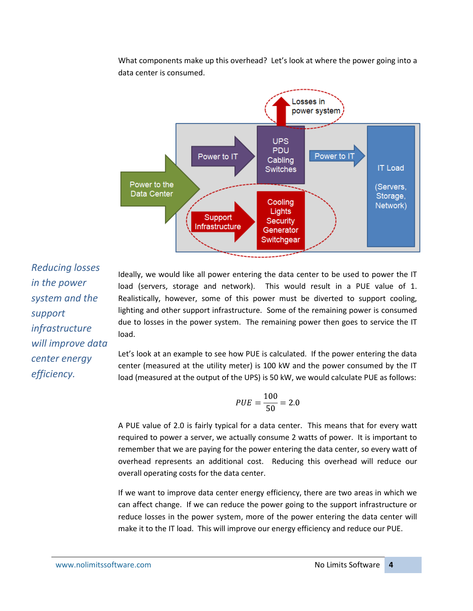What components make up this overhead? Let's look at where the power going into a data center is consumed.



*Reducing losses in the power system and the support infrastructure will improve data center energy efficiency.*

Ideally, we would like all power entering the data center to be used to power the IT load (servers, storage and network). This would result in a PUE value of 1. Realistically, however, some of this power must be diverted to support cooling, lighting and other support infrastructure. Some of the remaining power is consumed due to losses in the power system. The remaining power then goes to service the IT load.

Let's look at an example to see how PUE is calculated. If the power entering the data center (measured at the utility meter) is 100 kW and the power consumed by the IT load (measured at the output of the UPS) is 50 kW, we would calculate PUE as follows:

$$
PUE = \frac{100}{50} = 2.0
$$

A PUE value of 2.0 is fairly typical for a data center. This means that for every watt required to power a server, we actually consume 2 watts of power. It is important to remember that we are paying for the power entering the data center, so every watt of overhead represents an additional cost. Reducing this overhead will reduce our overall operating costs for the data center.

If we want to improve data center energy efficiency, there are two areas in which we can affect change. If we can reduce the power going to the support infrastructure or reduce losses in the power system, more of the power entering the data center will make it to the IT load. This will improve our energy efficiency and reduce our PUE.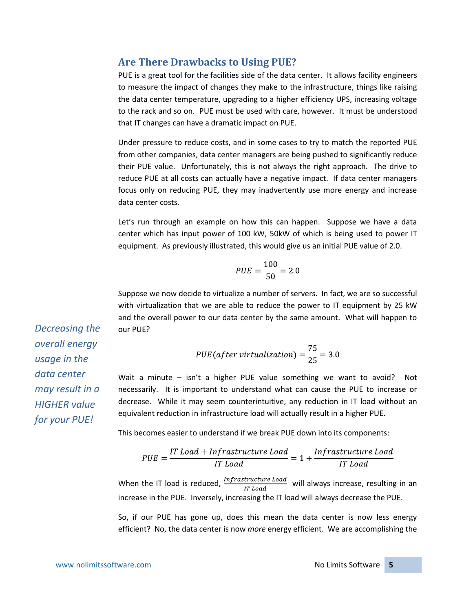## <span id="page-4-0"></span>**Are There Drawbacks to Using PUE?**

PUE is a great tool for the facilities side of the data center. It allows facility engineers to measure the impact of changes they make to the infrastructure, things like raising the data center temperature, upgrading to a higher efficiency UPS, increasing voltage to the rack and so on. PUE must be used with care, however. It must be understood that IT changes can have a dramatic impact on PUE.

Under pressure to reduce costs, and in some cases to try to match the reported PUE from other companies, data center managers are being pushed to significantly reduce their PUE value. Unfortunately, this is not always the right approach. The drive to reduce PUE at all costs can actually have a negative impact. If data center managers focus only on reducing PUE, they may inadvertently use more energy and increase data center costs.

Let's run through an example on how this can happen. Suppose we have a data center which has input power of 100 kW, 50kW of which is being used to power IT equipment. As previously illustrated, this would give us an initial PUE value of 2.0.

$$
PUE = \frac{100}{50} = 2.0
$$

Suppose we now decide to virtualize a number of servers. In fact, we are so successful with virtualization that we are able to reduce the power to IT equipment by 25 kW and the overall power to our data center by the same amount. What will happen to our PUE?

$$
PUE(after\ virtualization) = \frac{75}{25} = 3.0
$$

Wait a minute – isn't a higher PUE value something we want to avoid? Not necessarily. It is important to understand what can cause the PUE to increase or decrease. While it may seem counterintuitive, any reduction in IT load without an equivalent reduction in infrastructure load will actually result in a higher PUE.

This becomes easier to understand if we break PUE down into its components:

$$
PUE = \frac{IT\ Load + Infrastructure\ Load}{IT\ Load} = 1 + \frac{Infrastructure\ Load}{IT\ Load}
$$

When the IT load is reduced,  $\frac{Infrastructure\; Load}{IT\; Load}$  will always increase, resulting in an increase in the PUE. Inversely, increasing the IT load will always decrease the PUE.

So, if our PUE has gone up, does this mean the data center is now less energy efficient? No, the data center is now *more* energy efficient. We are accomplishing the

*Decreasing the overall energy usage in the data center may result in a HIGHER value for your PUE!*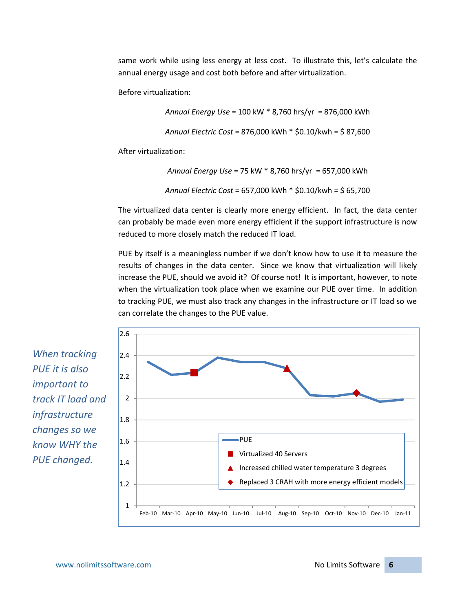same work while using less energy at less cost. To illustrate this, let's calculate the annual energy usage and cost both before and after virtualization.

Before virtualization:

```
Annual Energy Use = 100 kW * 8,760 hrs/yr = 876,000 kWh
```

```
Annual Electric Cost = 876,000 kWh * $0.10/kwh = $ 87,600
```
After virtualization:

*Annual Energy Use* = 75 kW \* 8,760 hrs/yr = 657,000 kWh *Annual Electric Cost* = 657,000 kWh \* \$0.10/kwh = \$ 65,700

The virtualized data center is clearly more energy efficient. In fact, the data center can probably be made even more energy efficient if the support infrastructure is now reduced to more closely match the reduced IT load.

PUE by itself is a meaningless number if we don't know how to use it to measure the results of changes in the data center. Since we know that virtualization will likely increase the PUE, should we avoid it? Of course not! It is important, however, to note when the virtualization took place when we examine our PUE over time. In addition to tracking PUE, we must also track any changes in the infrastructure or IT load so we can correlate the changes to the PUE value.



*When tracking PUE it is also important to track IT load and infrastructure changes so we know WHY the PUE changed.*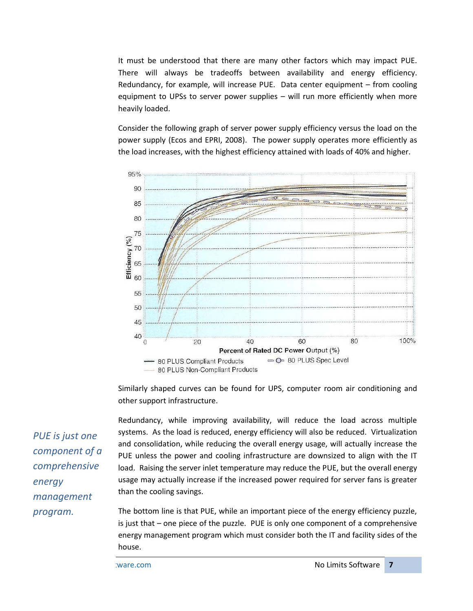It must be understood that there are many other factors which may impact PUE. There will always be tradeoffs between availability and energy efficiency. Redundancy, for example, will increase PUE. Data center equipment – from cooling equipment to UPSs to server power supplies – will run more efficiently when more heavily loaded.

Consider the following graph of server power supply efficiency versus the load on the power supply (Ecos and EPRI, 2008). The power supply operates more efficiently as the load increases, with the highest efficiency attained with loads of 40% and higher.



Similarly shaped curves can be found for UPS, computer room air conditioning and other support infrastructure.

Redundancy, while improving availability, will reduce the load across multiple systems. As the load is reduced, energy efficiency will also be reduced. Virtualization and consolidation, while reducing the overall energy usage, will actually increase the PUE unless the power and cooling infrastructure are downsized to align with the IT load. Raising the server inlet temperature may reduce the PUE, but the overall energy usage may actually increase if the increased power required for server fans is greater than the cooling savings.

The bottom line is that PUE, while an important piece of the energy efficiency puzzle, is just that – one piece of the puzzle. PUE is only one component of a comprehensive energy management program which must consider both the IT and facility sides of the house.

*PUE is just one component of a comprehensive energy management program.*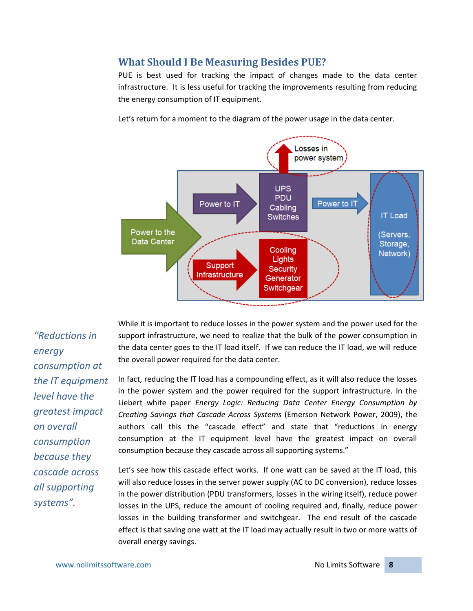## <span id="page-7-0"></span>**What Should I Be Measuring Besides PUE?**

PUE is best used for tracking the impact of changes made to the data center infrastructure. It is less useful for tracking the improvements resulting from reducing the energy consumption of IT equipment.

Let's return for a moment to the diagram of the power usage in the data center.



*"Reductions in energy consumption at the IT equipment level have the greatest impact on overall consumption because they cascade across all supporting systems".*

While it is important to reduce losses in the power system and the power used for the support infrastructure, we need to realize that the bulk of the power consumption in the data center goes to the IT load itself. If we can reduce the IT load, we will reduce the overall power required for the data center.

In fact, reducing the IT load has a compounding effect, as it will also reduce the losses in the power system and the power required for the support infrastructure. In the Liebert white paper *Energy Logic: Reducing Data Center Energy Consumption by Creating Savings that Cascade Across Systems* (Emerson Network Power, 2009), the authors call this the "cascade effect" and state that "reductions in energy consumption at the IT equipment level have the greatest impact on overall consumption because they cascade across all supporting systems."

Let's see how this cascade effect works. If one watt can be saved at the IT load, this will also reduce losses in the server power supply (AC to DC conversion), reduce losses in the power distribution (PDU transformers, losses in the wiring itself), reduce power losses in the UPS, reduce the amount of cooling required and, finally, reduce power losses in the building transformer and switchgear. The end result of the cascade effect is that saving one watt at the IT load may actually result in two or more watts of overall energy savings.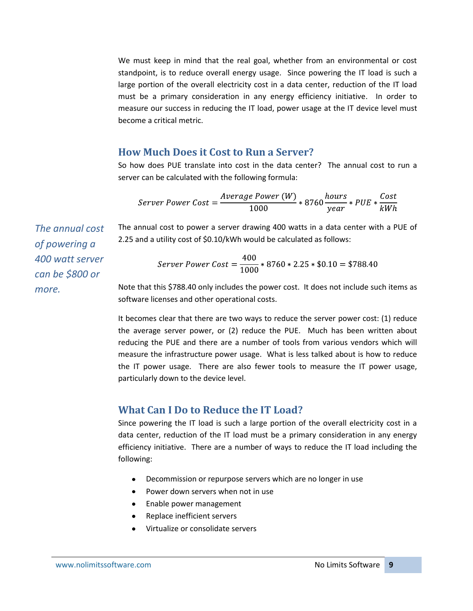We must keep in mind that the real goal, whether from an environmental or cost standpoint, is to reduce overall energy usage. Since powering the IT load is such a large portion of the overall electricity cost in a data center, reduction of the IT load must be a primary consideration in any energy efficiency initiative. In order to measure our success in reducing the IT load, power usage at the IT device level must become a critical metric.

#### <span id="page-8-0"></span>**How Much Does it Cost to Run a Server?**

So how does PUE translate into cost in the data center? The annual cost to run a server can be calculated with the following formula:

$$
Server Power Cost = \frac{Average Power (W)}{1000} * 8760 \frac{hours}{year} * PUE * \frac{Cost}{kWh}
$$

The annual cost to power a server drawing 400 watts in a data center with a PUE of 2.25 and a utility cost of \$0.10/kWh would be calculated as follows:

$$
Server Power Cost = \frac{400}{1000} * 8760 * 2.25 * $0.10 = $788.40
$$

Note that this \$788.40 only includes the power cost. It does not include such items as software licenses and other operational costs.

It becomes clear that there are two ways to reduce the server power cost: (1) reduce the average server power, or (2) reduce the PUE. Much has been written about reducing the PUE and there are a number of tools from various vendors which will measure the infrastructure power usage. What is less talked about is how to reduce the IT power usage. There are also fewer tools to measure the IT power usage, particularly down to the device level.

#### <span id="page-8-1"></span>**What Can I Do to Reduce the IT Load?**

Since powering the IT load is such a large portion of the overall electricity cost in a data center, reduction of the IT load must be a primary consideration in any energy efficiency initiative. There are a number of ways to reduce the IT load including the following:

- Decommission or repurpose servers which are no longer in use
- Power down servers when not in use
- Enable power management
- Replace inefficient servers
- Virtualize or consolidate servers

*The annual cost of powering a 400 watt server can be \$800 or more.*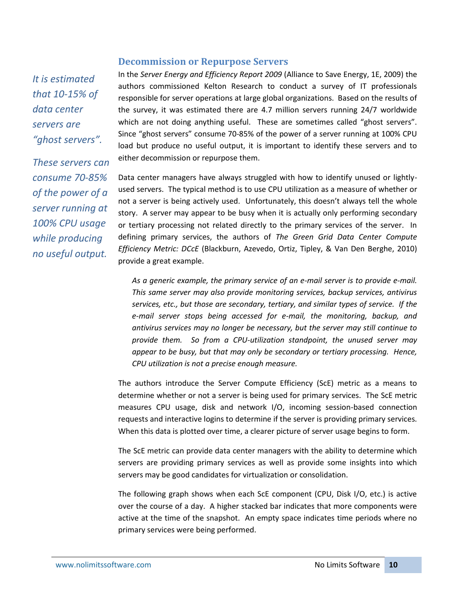#### **Decommission or Repurpose Servers**

<span id="page-9-0"></span>*It is estimated that 10-15% of data center servers are "ghost servers".*

*These servers can consume 70-85% of the power of a server running at 100% CPU usage while producing no useful output.*

In the *Server Energy and Efficiency Report 2009* (Alliance to Save Energy, 1E, 2009) the authors commissioned Kelton Research to conduct a survey of IT professionals responsible for server operations at large global organizations. Based on the results of the survey, it was estimated there are 4.7 million servers running 24/7 worldwide which are not doing anything useful. These are sometimes called "ghost servers". Since "ghost servers" consume 70-85% of the power of a server running at 100% CPU load but produce no useful output, it is important to identify these servers and to either decommission or repurpose them.

Data center managers have always struggled with how to identify unused or lightlyused servers. The typical method is to use CPU utilization as a measure of whether or not a server is being actively used. Unfortunately, this doesn't always tell the whole story. A server may appear to be busy when it is actually only performing secondary or tertiary processing not related directly to the primary services of the server. In defining primary services, the authors of *The Green Grid Data Center Compute Efficiency Metric: DCcE* (Blackburn, Azevedo, Ortiz, Tipley, & Van Den Berghe, 2010) provide a great example.

*As a generic example, the primary service of an e-mail server is to provide e-mail. This same server may also provide monitoring services, backup services, antivirus services, etc., but those are secondary, tertiary, and similar types of service. If the e-mail server stops being accessed for e-mail, the monitoring, backup, and antivirus services may no longer be necessary, but the server may still continue to provide them. So from a CPU-utilization standpoint, the unused server may appear to be busy, but that may only be secondary or tertiary processing. Hence, CPU utilization is not a precise enough measure.*

The authors introduce the Server Compute Efficiency (ScE) metric as a means to determine whether or not a server is being used for primary services. The ScE metric measures CPU usage, disk and network I/O, incoming session-based connection requests and interactive logins to determine if the server is providing primary services. When this data is plotted over time, a clearer picture of server usage begins to form.

The ScE metric can provide data center managers with the ability to determine which servers are providing primary services as well as provide some insights into which servers may be good candidates for virtualization or consolidation.

The following graph shows when each ScE component (CPU, Disk I/O, etc.) is active over the course of a day. A higher stacked bar indicates that more components were active at the time of the snapshot. An empty space indicates time periods where no primary services were being performed.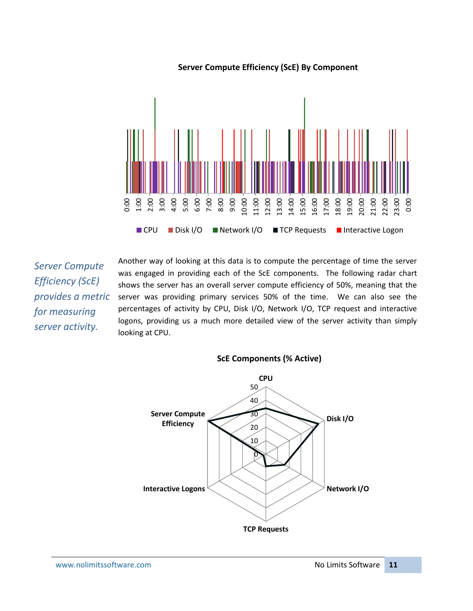

#### **Server Compute Efficiency (ScE) By Component**

*Server Compute Efficiency (ScE) provides a metric for measuring server activity.*

Another way of looking at this data is to compute the percentage of time the server was engaged in providing each of the ScE components. The following radar chart shows the server has an overall server compute efficiency of 50%, meaning that the server was providing primary services 50% of the time. We can also see the percentages of activity by CPU, Disk I/O, Network I/O, TCP request and interactive logons, providing us a much more detailed view of the server activity than simply es es es es es es es es es es es es en exemple de la maissance de la maissance de la maissance de la maissance de la maissance de la maissance de la maissance de la maissance de la maissance de la maissance de la maissanc

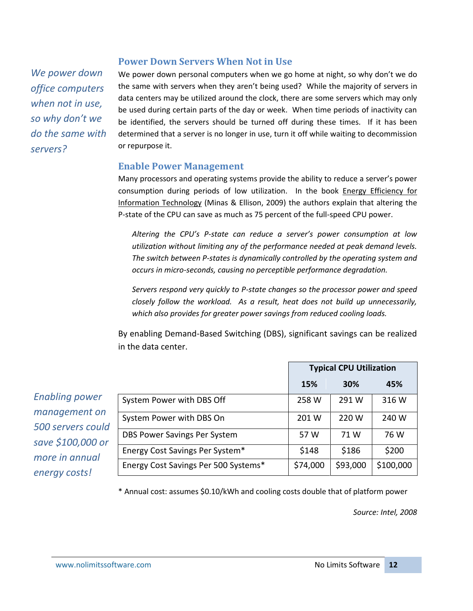## <span id="page-11-0"></span>We power down personal computers when we go home at night, so why don't we do *We power down office computers when not in use,*

*so why don't we do the same with* 

<span id="page-11-1"></span>*servers?*

the same with servers when they aren't being used? While the majority of servers in data centers may be utilized around the clock, there are some servers which may only be used during certain parts of the day or week. When time periods of inactivity can be identified, the servers should be turned off during these times. If it has been determined that a server is no longer in use, turn it off while waiting to decommission or repurpose it.

## **Enable Power Management**

**Power Down Servers When Not in Use**

Many processors and operating systems provide the ability to reduce a server's power consumption during periods of low utilization. In the book Energy Efficiency for Information Technology (Minas & Ellison, 2009) the authors explain that altering the P-state of the CPU can save as much as 75 percent of the full-speed CPU power.

*Altering the CPU's P-state can reduce a server's power consumption at low utilization without limiting any of the performance needed at peak demand levels. The switch between P-states is dynamically controlled by the operating system and occurs in micro-seconds, causing no perceptible performance degradation.*

*Servers respond very quickly to P-state changes so the processor power and speed closely follow the workload. As a result, heat does not build up unnecessarily, which also provides for greater power savings from reduced cooling loads.*

By enabling Demand-Based Switching (DBS), significant savings can be realized in the data center.

*Enabling power management on 500 servers could save \$100,000 or more in annual energy costs!*

|                                      | <b>Typical CPU Utilization</b> |            |           |
|--------------------------------------|--------------------------------|------------|-----------|
|                                      | <b>15%</b>                     | <b>30%</b> | 45%       |
| System Power with DBS Off            | 258 W                          | 291 W      | 316 W     |
| System Power with DBS On             | 201 W                          | 220 W      | 240 W     |
| DBS Power Savings Per System         | 57 W                           | 71 W       | 76 W      |
| Energy Cost Savings Per System*      | \$148                          | \$186      | \$200     |
| Energy Cost Savings Per 500 Systems* | \$74,000                       | \$93,000   | \$100,000 |

\* Annual cost: assumes \$0.10/kWh and cooling costs double that of platform power

*Source: Intel, 2008*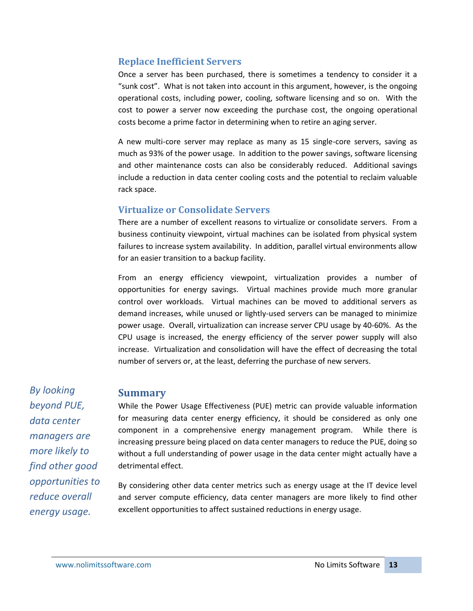## <span id="page-12-0"></span>**Replace Inefficient Servers**

Once a server has been purchased, there is sometimes a tendency to consider it a "sunk cost". What is not taken into account in this argument, however, is the ongoing operational costs, including power, cooling, software licensing and so on. With the cost to power a server now exceeding the purchase cost, the ongoing operational costs become a prime factor in determining when to retire an aging server.

A new multi-core server may replace as many as 15 single-core servers, saving as much as 93% of the power usage. In addition to the power savings, software licensing and other maintenance costs can also be considerably reduced. Additional savings include a reduction in data center cooling costs and the potential to reclaim valuable rack space.

## <span id="page-12-1"></span>**Virtualize or Consolidate Servers**

There are a number of excellent reasons to virtualize or consolidate servers. From a business continuity viewpoint, virtual machines can be isolated from physical system failures to increase system availability. In addition, parallel virtual environments allow for an easier transition to a backup facility.

From an energy efficiency viewpoint, virtualization provides a number of opportunities for energy savings. Virtual machines provide much more granular control over workloads. Virtual machines can be moved to additional servers as demand increases, while unused or lightly-used servers can be managed to minimize power usage. Overall, virtualization can increase server CPU usage by 40-60%. As the CPU usage is increased, the energy efficiency of the server power supply will also increase. Virtualization and consolidation will have the effect of decreasing the total number of servers or, at the least, deferring the purchase of new servers.

<span id="page-12-2"></span>*By looking beyond PUE, data center managers are more likely to find other good opportunities to reduce overall energy usage.*

## **Summary**

While the Power Usage Effectiveness (PUE) metric can provide valuable information for measuring data center energy efficiency, it should be considered as only one component in a comprehensive energy management program. While there is increasing pressure being placed on data center managers to reduce the PUE, doing so without a full understanding of power usage in the data center might actually have a detrimental effect.

By considering other data center metrics such as energy usage at the IT device level and server compute efficiency, data center managers are more likely to find other excellent opportunities to affect sustained reductions in energy usage.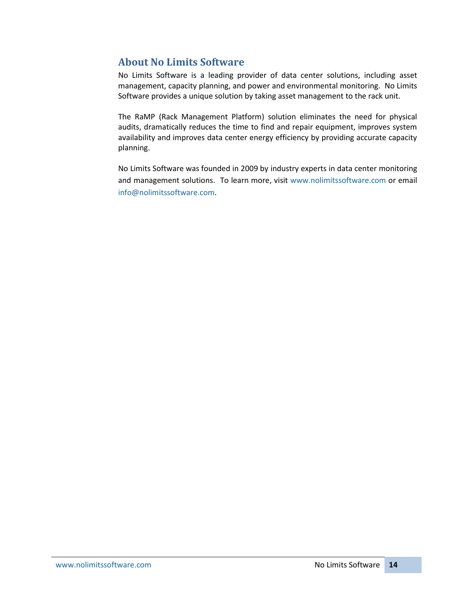## <span id="page-13-0"></span>**About No Limits Software**

No Limits Software is a leading provider of data center solutions, including asset management, capacity planning, and power and environmental monitoring. No Limits Software provides a unique solution by taking asset management to the rack unit.

The RaMP (Rack Management Platform) solution eliminates the need for physical audits, dramatically reduces the time to find and repair equipment, improves system availability and improves data center energy efficiency by providing accurate capacity planning.

No Limits Software was founded in 2009 by industry experts in data center monitoring and management solutions. To learn more, visit [www.nolimitssoftware.com](http://www.nolimitssoftware.com/) or email [info@nolimitssoftware.com.](mailto:info@nolimitssoftware.com)